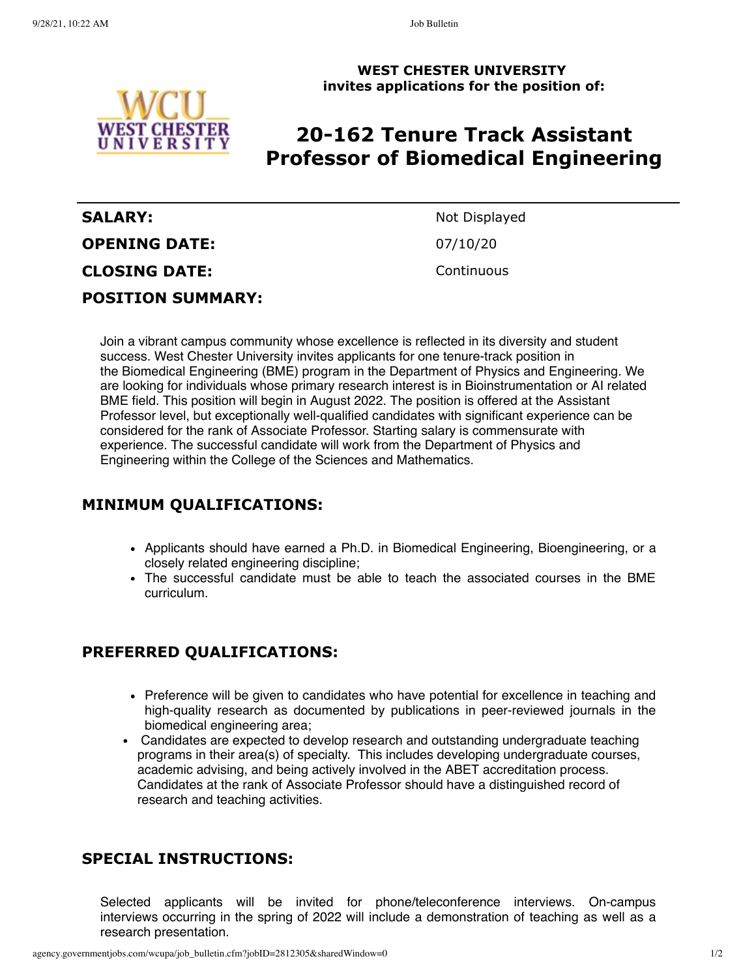

**WEST CHESTER UNIVERSITY invites applications for the position of:**

## **20-162 Tenure Track Assistant Professor of Biomedical Engineering**

# **SALARY:** Not Displayed **OPENING DATE:** 07/10/20 **CLOSING DATE:** Continuous **POSITION SUMMARY:**

Join a vibrant campus community whose excellence is reflected in its diversity and student success. West Chester University invites applicants for one tenure-track position in the Biomedical Engineering (BME) program in the Department of Physics and Engineering. We are looking for individuals whose primary research interest is in Bioinstrumentation or AI related BME field. This position will begin in August 2022. The position is offered at the Assistant Professor level, but exceptionally well-qualified candidates with significant experience can be considered for the rank of Associate Professor. Starting salary is commensurate with experience. The successful candidate will work from the Department of Physics and Engineering within the College of the Sciences and Mathematics.

### **MINIMUM QUALIFICATIONS:**

- Applicants should have earned a Ph.D. in Biomedical Engineering, Bioengineering, or a closely related engineering discipline;
- The successful candidate must be able to teach the associated courses in the BME curriculum.

### **PREFERRED QUALIFICATIONS:**

- Preference will be given to candidates who have potential for excellence in teaching and high-quality research as documented by publications in peer-reviewed journals in the biomedical engineering area;
- Candidates are expected to develop research and outstanding undergraduate teaching programs in their area(s) of specialty. This includes developing undergraduate courses, academic advising, and being actively involved in the ABET accreditation process. Candidates at the rank of Associate Professor should have a distinguished record of research and teaching activities.

#### **SPECIAL INSTRUCTIONS:**

Selected applicants will be invited for phone/teleconference interviews. On-campus interviews occurring in the spring of 2022 will include a demonstration of teaching as well as a research presentation.